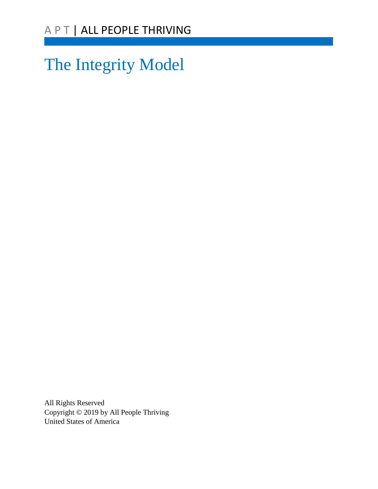The Integrity Model

All Rights Reserved Copyright © 2019 by All People Thriving United States of America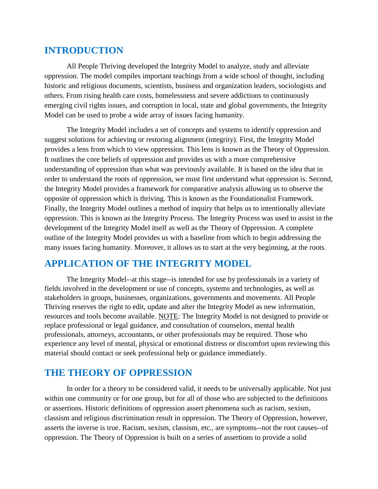# **INTRODUCTION**

All People Thriving developed the Integrity Model to analyze, study and alleviate oppression. The model compiles important teachings from a wide school of thought, including historic and religious documents, scientists, business and organization leaders, sociologists and others. From rising health care costs, homelessness and severe addictions to continuously emerging civil rights issues, and corruption in local, state and global governments, the Integrity Model can be used to probe a wide array of issues facing humanity.

The Integrity Model includes a set of concepts and systems to identify oppression and suggest solutions for achieving or restoring alignment (integrity). First, the Integrity Model provides a lens from which to view oppression. This lens is known as the Theory of Oppression. It outlines the core beliefs of oppression and provides us with a more comprehensive understanding of oppression than what was previously available. It is based on the idea that in order to understand the roots of oppression, we must first understand what oppression is. Second, the Integrity Model provides a framework for comparative analysis allowing us to observe the opposite of oppression which is thriving. This is known as the Foundationalist Framework. Finally, the Integrity Model outlines a method of inquiry that helps us to intentionally alleviate oppression. This is known as the Integrity Process. The Integrity Process was used to assist in the development of the Integrity Model itself as well as the Theory of Oppression. A complete outline of the Integrity Model provides us with a baseline from which to begin addressing the many issues facing humanity. Moreover, it allows us to start at the very beginning, at the roots.

# **APPLICATION OF THE INTEGRITY MODEL**

The Integrity Model--at this stage--is intended for use by professionals in a variety of fields involved in the development or use of concepts, systems and technologies, as well as stakeholders in groups, businesses, organizations, governments and movements. All People Thriving reserves the right to edit, update and alter the Integrity Model as new information, resources and tools become available. NOTE: The Integrity Model is not designed to provide or replace professional or legal guidance, and consultation of counselors, mental health professionals, attorneys, accountants, or other professionals may be required. Those who experience any level of mental, physical or emotional distress or discomfort upon reviewing this material should contact or seek professional help or guidance immediately.

# **THE THEORY OF OPPRESSION**

In order for a theory to be considered valid, it needs to be universally applicable. Not just within one community or for one group, but for all of those who are subjected to the definitions or assertions. Historic definitions of oppression assert phenomena such as racism, sexism, classism and religious discrimination result in oppression. The Theory of Oppression, however, asserts the inverse is true. Racism, sexism, classism, etc., are symptoms--not the root causes--of oppression. The Theory of Oppression is built on a series of assertions to provide a solid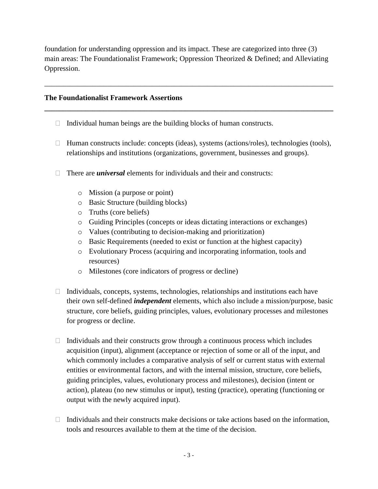foundation for understanding oppression and its impact. These are categorized into three (3) main areas: The Foundationalist Framework; Oppression Theorized & Defined; and Alleviating Oppression.

\_\_\_\_\_\_\_\_\_\_\_\_\_\_\_\_\_\_\_\_\_\_\_\_\_\_\_\_\_\_\_\_\_\_\_\_\_\_\_\_\_\_\_\_\_\_\_\_\_\_\_\_\_\_\_\_\_\_\_\_\_\_\_\_\_\_\_\_\_\_\_\_\_\_\_\_\_\_

**\_\_\_\_\_\_\_\_\_\_\_\_\_\_\_\_\_\_\_\_\_\_\_\_\_\_\_\_\_\_\_\_\_\_\_\_\_\_\_\_\_\_\_\_\_\_\_\_\_\_\_\_\_\_\_\_\_\_\_\_\_\_\_\_\_\_\_\_\_\_\_\_\_\_\_\_\_\_**

### **The Foundationalist Framework Assertions**

- $\Box$  Individual human beings are the building blocks of human constructs.
- $\Box$  Human constructs include: concepts (ideas), systems (actions/roles), technologies (tools), relationships and institutions (organizations, government, businesses and groups).
- $\Box$  There are *universal* elements for individuals and their and constructs:
	- o Mission (a purpose or point)
	- o Basic Structure (building blocks)
	- o Truths (core beliefs)
	- o Guiding Principles (concepts or ideas dictating interactions or exchanges)
	- o Values (contributing to decision-making and prioritization)
	- o Basic Requirements (needed to exist or function at the highest capacity)
	- o Evolutionary Process (acquiring and incorporating information, tools and resources)
	- o Milestones (core indicators of progress or decline)
- $\Box$  Individuals, concepts, systems, technologies, relationships and institutions each have their own self-defined *independent* elements, which also include a mission/purpose, basic structure, core beliefs, guiding principles, values, evolutionary processes and milestones for progress or decline.
- $\Box$  Individuals and their constructs grow through a continuous process which includes acquisition (input), alignment (acceptance or rejection of some or all of the input, and which commonly includes a comparative analysis of self or current status with external entities or environmental factors, and with the internal mission, structure, core beliefs, guiding principles, values, evolutionary process and milestones), decision (intent or action), plateau (no new stimulus or input), testing (practice), operating (functioning or output with the newly acquired input).
- $\Box$  Individuals and their constructs make decisions or take actions based on the information, tools and resources available to them at the time of the decision.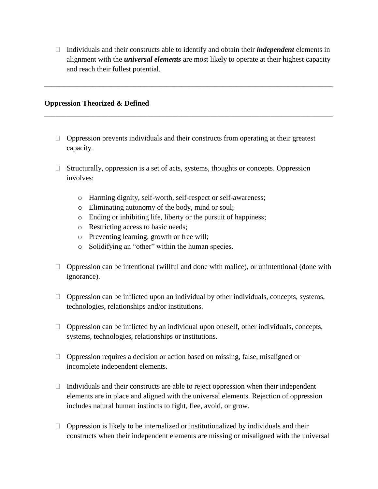Individuals and their constructs able to identify and obtain their *independent* elements in alignment with the *universal elements* are most likely to operate at their highest capacity and reach their fullest potential.

**\_\_\_\_\_\_\_\_\_\_\_\_\_\_\_\_\_\_\_\_\_\_\_\_\_\_\_\_\_\_\_\_\_\_\_\_\_\_\_\_\_\_\_\_\_\_\_\_\_\_\_\_\_\_\_\_\_\_\_\_\_\_\_\_\_\_\_\_\_\_\_\_\_\_\_\_\_\_**

**\_\_\_\_\_\_\_\_\_\_\_\_\_\_\_\_\_\_\_\_\_\_\_\_\_\_\_\_\_\_\_\_\_\_\_\_\_\_\_\_\_\_\_\_\_\_\_\_\_\_\_\_\_\_\_\_\_\_\_\_\_\_\_\_\_\_\_\_\_\_\_\_\_\_\_\_\_\_**

### **Oppression Theorized & Defined**

- $\Box$  Oppression prevents individuals and their constructs from operating at their greatest capacity.
- $\Box$  Structurally, oppression is a set of acts, systems, thoughts or concepts. Oppression involves:
	- o Harming dignity, self-worth, self-respect or self-awareness;
	- o Eliminating autonomy of the body, mind or soul;
	- o Ending or inhibiting life, liberty or the pursuit of happiness;
	- o Restricting access to basic needs;
	- o Preventing learning, growth or free will;
	- o Solidifying an "other" within the human species.
- $\Box$  Oppression can be intentional (willful and done with malice), or unintentional (done with ignorance).
- $\Box$  Oppression can be inflicted upon an individual by other individuals, concepts, systems, technologies, relationships and/or institutions.
- $\Box$  Oppression can be inflicted by an individual upon oneself, other individuals, concepts, systems, technologies, relationships or institutions.
- $\Box$  Oppression requires a decision or action based on missing, false, misaligned or incomplete independent elements.
- $\Box$  Individuals and their constructs are able to reject oppression when their independent elements are in place and aligned with the universal elements. Rejection of oppression includes natural human instincts to fight, flee, avoid, or grow.
- $\Box$  Oppression is likely to be internalized or institutionalized by individuals and their constructs when their independent elements are missing or misaligned with the universal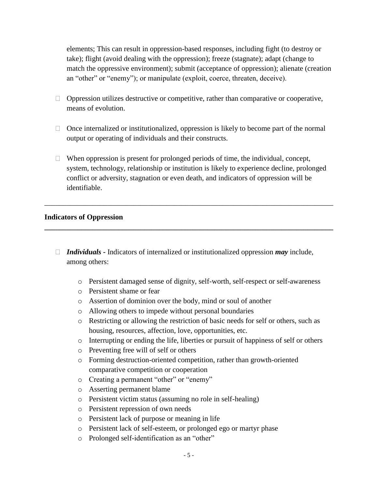elements; This can result in oppression-based responses, including fight (to destroy or take); flight (avoid dealing with the oppression); freeze (stagnate); adapt (change to match the oppressive environment); submit (acceptance of oppression); alienate (creation an "other" or "enemy"); or manipulate (exploit, coerce, threaten, deceive).

- $\Box$  Oppression utilizes destructive or competitive, rather than comparative or cooperative, means of evolution.
- $\Box$  Once internalized or institutionalized, oppression is likely to become part of the normal output or operating of individuals and their constructs.
- $\Box$  When oppression is present for prolonged periods of time, the individual, concept, system, technology, relationship or institution is likely to experience decline, prolonged conflict or adversity, stagnation or even death, and indicators of oppression will be identifiable.

\_\_\_\_\_\_\_\_\_\_\_\_\_\_\_\_\_\_\_\_\_\_\_\_\_\_\_\_\_\_\_\_\_\_\_\_\_\_\_\_\_\_\_\_\_\_\_\_\_\_\_\_\_\_\_\_\_\_\_\_\_\_\_\_\_\_\_\_\_\_\_\_\_\_\_\_\_\_

**\_\_\_\_\_\_\_\_\_\_\_\_\_\_\_\_\_\_\_\_\_\_\_\_\_\_\_\_\_\_\_\_\_\_\_\_\_\_\_\_\_\_\_\_\_\_\_\_\_\_\_\_\_\_\_\_\_\_\_\_\_\_\_\_\_\_\_\_\_\_\_\_\_\_\_\_\_\_**

#### **Indicators of Oppression**

- *Individuals -* Indicators of internalized or institutionalized oppression *may* include, among others:
	- o Persistent damaged sense of dignity, self-worth, self-respect or self-awareness
	- o Persistent shame or fear
	- o Assertion of dominion over the body, mind or soul of another
	- o Allowing others to impede without personal boundaries
	- o Restricting or allowing the restriction of basic needs for self or others, such as housing, resources, affection, love, opportunities, etc.
	- o Interrupting or ending the life, liberties or pursuit of happiness of self or others
	- o Preventing free will of self or others
	- o Forming destruction-oriented competition, rather than growth-oriented comparative competition or cooperation
	- o Creating a permanent "other" or "enemy"
	- o Asserting permanent blame
	- o Persistent victim status (assuming no role in self-healing)
	- o Persistent repression of own needs
	- o Persistent lack of purpose or meaning in life
	- o Persistent lack of self-esteem, or prolonged ego or martyr phase
	- o Prolonged self-identification as an "other"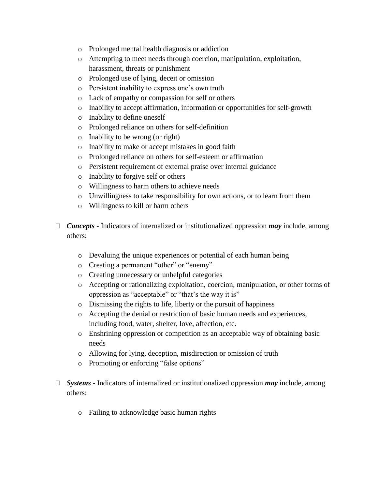- o Prolonged mental health diagnosis or addiction
- o Attempting to meet needs through coercion, manipulation, exploitation, harassment, threats or punishment
- o Prolonged use of lying, deceit or omission
- o Persistent inability to express one's own truth
- o Lack of empathy or compassion for self or others
- o Inability to accept affirmation, information or opportunities for self-growth
- o Inability to define oneself
- o Prolonged reliance on others for self-definition
- o Inability to be wrong (or right)
- o Inability to make or accept mistakes in good faith
- o Prolonged reliance on others for self-esteem or affirmation
- o Persistent requirement of external praise over internal guidance
- o Inability to forgive self or others
- o Willingness to harm others to achieve needs
- o Unwillingness to take responsibility for own actions, or to learn from them
- o Willingness to kill or harm others
- □ *Concepts* Indicators of internalized or institutionalized oppression *may* include, among others:
	- o Devaluing the unique experiences or potential of each human being
	- o Creating a permanent "other" or "enemy"
	- o Creating unnecessary or unhelpful categories
	- o Accepting or rationalizing exploitation, coercion, manipulation, or other forms of oppression as "acceptable" or "that's the way it is"
	- o Dismissing the rights to life, liberty or the pursuit of happiness
	- o Accepting the denial or restriction of basic human needs and experiences, including food, water, shelter, love, affection, etc.
	- o Enshrining oppression or competition as an acceptable way of obtaining basic needs
	- o Allowing for lying, deception, misdirection or omission of truth
	- o Promoting or enforcing "false options"
- *Systems*  Indicators of internalized or institutionalized oppression *may* include, among others:
	- o Failing to acknowledge basic human rights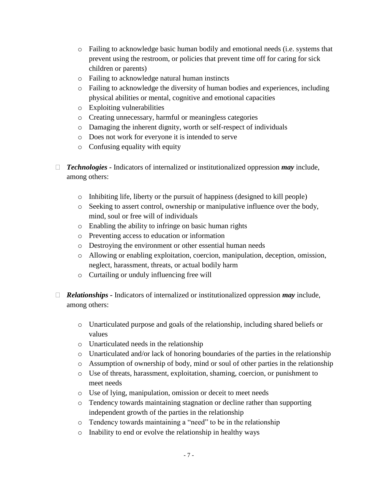- $\circ$  Failing to acknowledge basic human bodily and emotional needs (i.e. systems that prevent using the restroom, or policies that prevent time off for caring for sick children or parents)
- o Failing to acknowledge natural human instincts
- o Failing to acknowledge the diversity of human bodies and experiences, including physical abilities or mental, cognitive and emotional capacities
- o Exploiting vulnerabilities
- o Creating unnecessary, harmful or meaningless categories
- o Damaging the inherent dignity, worth or self-respect of individuals
- o Does not work for everyone it is intended to serve
- o Confusing equality with equity
- *Technologies -* Indicators of internalized or institutionalized oppression *may* include, among others:
	- o Inhibiting life, liberty or the pursuit of happiness (designed to kill people)
	- o Seeking to assert control, ownership or manipulative influence over the body, mind, soul or free will of individuals
	- o Enabling the ability to infringe on basic human rights
	- o Preventing access to education or information
	- o Destroying the environment or other essential human needs
	- o Allowing or enabling exploitation, coercion, manipulation, deception, omission, neglect, harassment, threats, or actual bodily harm
	- o Curtailing or unduly influencing free will
- *Relationships -* Indicators of internalized or institutionalized oppression *may* include, among others:
	- o Unarticulated purpose and goals of the relationship, including shared beliefs or values
	- o Unarticulated needs in the relationship
	- $\circ$  Unarticulated and/or lack of honoring boundaries of the parties in the relationship
	- o Assumption of ownership of body, mind or soul of other parties in the relationship
	- o Use of threats, harassment, exploitation, shaming, coercion, or punishment to meet needs
	- o Use of lying, manipulation, omission or deceit to meet needs
	- o Tendency towards maintaining stagnation or decline rather than supporting independent growth of the parties in the relationship
	- o Tendency towards maintaining a "need" to be in the relationship
	- o Inability to end or evolve the relationship in healthy ways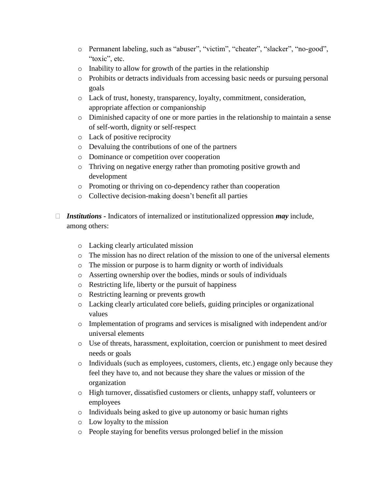- o Permanent labeling, such as "abuser", "victim", "cheater", "slacker", "no-good", "toxic", etc.
- o Inability to allow for growth of the parties in the relationship
- o Prohibits or detracts individuals from accessing basic needs or pursuing personal goals
- o Lack of trust, honesty, transparency, loyalty, commitment, consideration, appropriate affection or companionship
- o Diminished capacity of one or more parties in the relationship to maintain a sense of self-worth, dignity or self-respect
- o Lack of positive reciprocity
- o Devaluing the contributions of one of the partners
- o Dominance or competition over cooperation
- o Thriving on negative energy rather than promoting positive growth and development
- o Promoting or thriving on co-dependency rather than cooperation
- o Collective decision-making doesn't benefit all parties
- *Institutions -* Indicators of internalized or institutionalized oppression *may* include, among others:
	- o Lacking clearly articulated mission
	- $\circ$  The mission has no direct relation of the mission to one of the universal elements
	- o The mission or purpose is to harm dignity or worth of individuals
	- o Asserting ownership over the bodies, minds or souls of individuals
	- o Restricting life, liberty or the pursuit of happiness
	- o Restricting learning or prevents growth
	- o Lacking clearly articulated core beliefs, guiding principles or organizational values
	- o Implementation of programs and services is misaligned with independent and/or universal elements
	- o Use of threats, harassment, exploitation, coercion or punishment to meet desired needs or goals
	- o Individuals (such as employees, customers, clients, etc.) engage only because they feel they have to, and not because they share the values or mission of the organization
	- o High turnover, dissatisfied customers or clients, unhappy staff, volunteers or employees
	- o Individuals being asked to give up autonomy or basic human rights
	- o Low loyalty to the mission
	- o People staying for benefits versus prolonged belief in the mission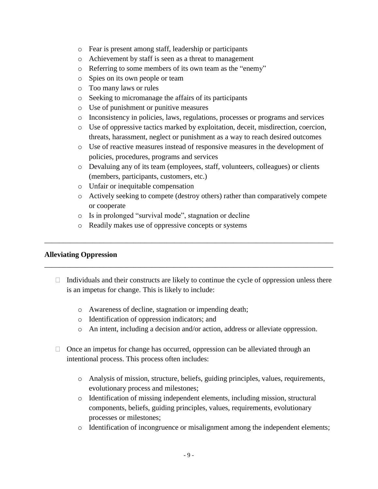- o Fear is present among staff, leadership or participants
- o Achievement by staff is seen as a threat to management
- o Referring to some members of its own team as the "enemy"
- o Spies on its own people or team
- o Too many laws or rules
- o Seeking to micromanage the affairs of its participants
- o Use of punishment or punitive measures
- o Inconsistency in policies, laws, regulations, processes or programs and services
- o Use of oppressive tactics marked by exploitation, deceit, misdirection, coercion, threats, harassment, neglect or punishment as a way to reach desired outcomes
- o Use of reactive measures instead of responsive measures in the development of policies, procedures, programs and services
- o Devaluing any of its team (employees, staff, volunteers, colleagues) or clients (members, participants, customers, etc.)
- o Unfair or inequitable compensation
- o Actively seeking to compete (destroy others) rather than comparatively compete or cooperate
- o Is in prolonged "survival mode", stagnation or decline
- o Readily makes use of oppressive concepts or systems

### **Alleviating Oppression**

 $\Box$  Individuals and their constructs are likely to continue the cycle of oppression unless there is an impetus for change. This is likely to include:

\_\_\_\_\_\_\_\_\_\_\_\_\_\_\_\_\_\_\_\_\_\_\_\_\_\_\_\_\_\_\_\_\_\_\_\_\_\_\_\_\_\_\_\_\_\_\_\_\_\_\_\_\_\_\_\_\_\_\_\_\_\_\_\_\_\_\_\_\_\_\_\_\_\_\_\_\_\_

- o Awareness of decline, stagnation or impending death;
- o Identification of oppression indicators; and
- o An intent, including a decision and/or action, address or alleviate oppression.
- $\Box$  Once an impetus for change has occurred, oppression can be alleviated through an intentional process. This process often includes:
	- o Analysis of mission, structure, beliefs, guiding principles, values, requirements, evolutionary process and milestones;
	- o Identification of missing independent elements, including mission, structural components, beliefs, guiding principles, values, requirements, evolutionary processes or milestones;
	- o Identification of incongruence or misalignment among the independent elements;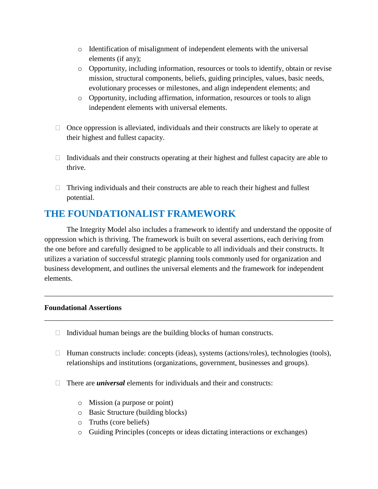- o Identification of misalignment of independent elements with the universal elements (if any);
- o Opportunity, including information, resources or tools to identify, obtain or revise mission, structural components, beliefs, guiding principles, values, basic needs, evolutionary processes or milestones, and align independent elements; and
- o Opportunity, including affirmation, information, resources or tools to align independent elements with universal elements.
- $\Box$  Once oppression is alleviated, individuals and their constructs are likely to operate at their highest and fullest capacity.
- $\Box$  Individuals and their constructs operating at their highest and fullest capacity are able to thrive.
- $\Box$  Thriving individuals and their constructs are able to reach their highest and fullest potential.

# **THE FOUNDATIONALIST FRAMEWORK**

The Integrity Model also includes a framework to identify and understand the opposite of oppression which is thriving. The framework is built on several assertions, each deriving from the one before and carefully designed to be applicable to all individuals and their constructs. It utilizes a variation of successful strategic planning tools commonly used for organization and business development, and outlines the universal elements and the framework for independent elements.

\_\_\_\_\_\_\_\_\_\_\_\_\_\_\_\_\_\_\_\_\_\_\_\_\_\_\_\_\_\_\_\_\_\_\_\_\_\_\_\_\_\_\_\_\_\_\_\_\_\_\_\_\_\_\_\_\_\_\_\_\_\_\_\_\_\_\_\_\_\_\_\_\_\_\_\_\_\_

\_\_\_\_\_\_\_\_\_\_\_\_\_\_\_\_\_\_\_\_\_\_\_\_\_\_\_\_\_\_\_\_\_\_\_\_\_\_\_\_\_\_\_\_\_\_\_\_\_\_\_\_\_\_\_\_\_\_\_\_\_\_\_\_\_\_\_\_\_\_\_\_\_\_\_\_\_\_

### **Foundational Assertions**

- $\Box$  Individual human beings are the building blocks of human constructs.
- □ Human constructs include: concepts (ideas), systems (actions/roles), technologies (tools), relationships and institutions (organizations, government, businesses and groups).
- $\Box$  There are *universal* elements for individuals and their and constructs:
	- o Mission (a purpose or point)
	- o Basic Structure (building blocks)
	- o Truths (core beliefs)
	- o Guiding Principles (concepts or ideas dictating interactions or exchanges)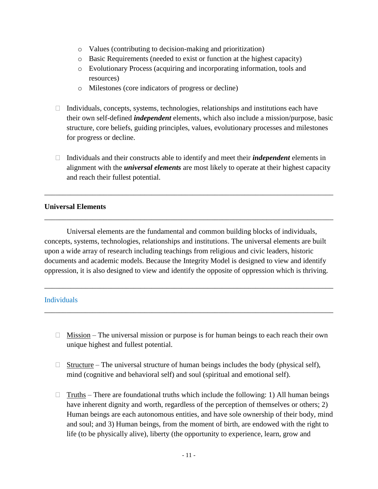- o Values (contributing to decision-making and prioritization)
- o Basic Requirements (needed to exist or function at the highest capacity)
- o Evolutionary Process (acquiring and incorporating information, tools and resources)
- o Milestones (core indicators of progress or decline)
- $\Box$  Individuals, concepts, systems, technologies, relationships and institutions each have their own self-defined *independent* elements, which also include a mission/purpose, basic structure, core beliefs, guiding principles, values, evolutionary processes and milestones for progress or decline.
- $\Box$  Individuals and their constructs able to identify and meet their *independent* elements in alignment with the *universal elements* are most likely to operate at their highest capacity and reach their fullest potential.

\_\_\_\_\_\_\_\_\_\_\_\_\_\_\_\_\_\_\_\_\_\_\_\_\_\_\_\_\_\_\_\_\_\_\_\_\_\_\_\_\_\_\_\_\_\_\_\_\_\_\_\_\_\_\_\_\_\_\_\_\_\_\_\_\_\_\_\_\_\_\_\_\_\_\_\_\_\_

### **Universal Elements**

Universal elements are the fundamental and common building blocks of individuals, concepts, systems, technologies, relationships and institutions. The universal elements are built upon a wide array of research including teachings from religious and civic leaders, historic documents and academic models. Because the Integrity Model is designed to view and identify oppression, it is also designed to view and identify the opposite of oppression which is thriving.

\_\_\_\_\_\_\_\_\_\_\_\_\_\_\_\_\_\_\_\_\_\_\_\_\_\_\_\_\_\_\_\_\_\_\_\_\_\_\_\_\_\_\_\_\_\_\_\_\_\_\_\_\_\_\_\_\_\_\_\_\_\_\_\_\_\_\_\_\_\_\_\_\_\_\_\_\_\_

\_\_\_\_\_\_\_\_\_\_\_\_\_\_\_\_\_\_\_\_\_\_\_\_\_\_\_\_\_\_\_\_\_\_\_\_\_\_\_\_\_\_\_\_\_\_\_\_\_\_\_\_\_\_\_\_\_\_\_\_\_\_\_\_\_\_\_\_\_\_\_\_\_\_\_\_\_\_

### Individuals

- $\Box$  Mission The universal mission or purpose is for human beings to each reach their own unique highest and fullest potential.
- $\Box$  Structure The universal structure of human beings includes the body (physical self), mind (cognitive and behavioral self) and soul (spiritual and emotional self).
- $\Box$  Truths There are foundational truths which include the following: 1) All human beings have inherent dignity and worth, regardless of the perception of themselves or others; 2) Human beings are each autonomous entities, and have sole ownership of their body, mind and soul; and 3) Human beings, from the moment of birth, are endowed with the right to life (to be physically alive), liberty (the opportunity to experience, learn, grow and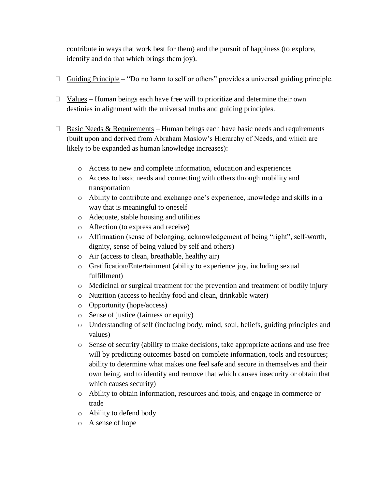contribute in ways that work best for them) and the pursuit of happiness (to explore, identify and do that which brings them joy).

- $\Box$  Guiding Principle "Do no harm to self or others" provides a universal guiding principle.
- $\Box$  Values Human beings each have free will to prioritize and determine their own destinies in alignment with the universal truths and guiding principles.
- $\Box$  Basic Needs & Requirements Human beings each have basic needs and requirements (built upon and derived from Abraham Maslow's Hierarchy of Needs, and which are likely to be expanded as human knowledge increases):
	- o Access to new and complete information, education and experiences
	- o Access to basic needs and connecting with others through mobility and transportation
	- o Ability to contribute and exchange one's experience, knowledge and skills in a way that is meaningful to oneself
	- o Adequate, stable housing and utilities
	- o Affection (to express and receive)
	- o Affirmation (sense of belonging, acknowledgement of being "right", self-worth, dignity, sense of being valued by self and others)
	- o Air (access to clean, breathable, healthy air)
	- o Gratification/Entertainment (ability to experience joy, including sexual fulfillment)
	- o Medicinal or surgical treatment for the prevention and treatment of bodily injury
	- o Nutrition (access to healthy food and clean, drinkable water)
	- o Opportunity (hope/access)
	- o Sense of justice (fairness or equity)
	- o Understanding of self (including body, mind, soul, beliefs, guiding principles and values)
	- o Sense of security (ability to make decisions, take appropriate actions and use free will by predicting outcomes based on complete information, tools and resources; ability to determine what makes one feel safe and secure in themselves and their own being, and to identify and remove that which causes insecurity or obtain that which causes security)
	- o Ability to obtain information, resources and tools, and engage in commerce or trade
	- o Ability to defend body
	- o A sense of hope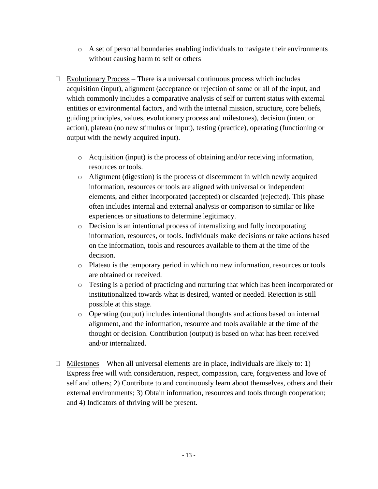- o A set of personal boundaries enabling individuals to navigate their environments without causing harm to self or others
- $\Box$  Evolutionary Process There is a universal continuous process which includes acquisition (input), alignment (acceptance or rejection of some or all of the input, and which commonly includes a comparative analysis of self or current status with external entities or environmental factors, and with the internal mission, structure, core beliefs, guiding principles, values, evolutionary process and milestones), decision (intent or action), plateau (no new stimulus or input), testing (practice), operating (functioning or output with the newly acquired input).
	- o Acquisition (input) is the process of obtaining and/or receiving information, resources or tools.
	- $\circ$  Alignment (digestion) is the process of discernment in which newly acquired information, resources or tools are aligned with universal or independent elements, and either incorporated (accepted) or discarded (rejected). This phase often includes internal and external analysis or comparison to similar or like experiences or situations to determine legitimacy.
	- o Decision is an intentional process of internalizing and fully incorporating information, resources, or tools. Individuals make decisions or take actions based on the information, tools and resources available to them at the time of the decision.
	- o Plateau is the temporary period in which no new information, resources or tools are obtained or received.
	- o Testing is a period of practicing and nurturing that which has been incorporated or institutionalized towards what is desired, wanted or needed. Rejection is still possible at this stage.
	- o Operating (output) includes intentional thoughts and actions based on internal alignment, and the information, resource and tools available at the time of the thought or decision. Contribution (output) is based on what has been received and/or internalized.
- $\Box$  Milestones When all universal elements are in place, individuals are likely to: 1) Express free will with consideration, respect, compassion, care, forgiveness and love of self and others; 2) Contribute to and continuously learn about themselves, others and their external environments; 3) Obtain information, resources and tools through cooperation; and 4) Indicators of thriving will be present.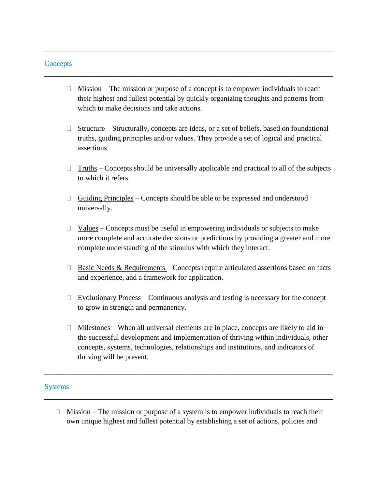#### **Concepts**

 $\Box$  Mission – The mission or purpose of a concept is to empower individuals to reach their highest and fullest potential by quickly organizing thoughts and patterns from which to make decisions and take actions.

\_\_\_\_\_\_\_\_\_\_\_\_\_\_\_\_\_\_\_\_\_\_\_\_\_\_\_\_\_\_\_\_\_\_\_\_\_\_\_\_\_\_\_\_\_\_\_\_\_\_\_\_\_\_\_\_\_\_\_\_\_\_\_\_\_\_\_\_\_\_\_\_\_\_\_\_\_\_

\_\_\_\_\_\_\_\_\_\_\_\_\_\_\_\_\_\_\_\_\_\_\_\_\_\_\_\_\_\_\_\_\_\_\_\_\_\_\_\_\_\_\_\_\_\_\_\_\_\_\_\_\_\_\_\_\_\_\_\_\_\_\_\_\_\_\_\_\_\_\_\_\_\_\_\_\_\_

- $\Box$  Structure Structurally, concepts are ideas, or a set of beliefs, based on foundational truths, guiding principles and/or values. They provide a set of logical and practical assertions.
- $\Box$  Truths Concepts should be universally applicable and practical to all of the subjects to which it refers.
- $\Box$  Guiding Principles Concepts should be able to be expressed and understood universally.
- $\Box$  Values Concepts must be useful in empowering individuals or subjects to make more complete and accurate decisions or predictions by providing a greater and more complete understanding of the stimulus with which they interact.
- $\Box$  Basic Needs & Requirements Concepts require articulated assertions based on facts and experience, and a framework for application.
- $\Box$  Evolutionary Process Continuous analysis and testing is necessary for the concept to grow in strength and permanency.
- $\Box$  Milestones When all universal elements are in place, concepts are likely to aid in the successful development and implementation of thriving within individuals, other concepts, systems, technologies, relationships and institutions, and indicators of thriving will be present.

#### Systems

 $\Box$  Mission – The mission or purpose of a system is to empower individuals to reach their own unique highest and fullest potential by establishing a set of actions, policies and

\_\_\_\_\_\_\_\_\_\_\_\_\_\_\_\_\_\_\_\_\_\_\_\_\_\_\_\_\_\_\_\_\_\_\_\_\_\_\_\_\_\_\_\_\_\_\_\_\_\_\_\_\_\_\_\_\_\_\_\_\_\_\_\_\_\_\_\_\_\_\_\_\_\_\_\_\_\_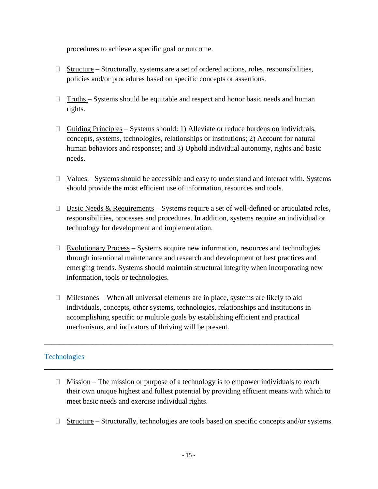procedures to achieve a specific goal or outcome.

- $\Box$  Structure Structurally, systems are a set of ordered actions, roles, responsibilities, policies and/or procedures based on specific concepts or assertions.
- $\Box$  Truths Systems should be equitable and respect and honor basic needs and human rights.
- $\Box$  Guiding Principles Systems should: 1) Alleviate or reduce burdens on individuals, concepts, systems, technologies, relationships or institutions; 2) Account for natural human behaviors and responses; and 3) Uphold individual autonomy, rights and basic needs.
- $\Box$  Values Systems should be accessible and easy to understand and interact with. Systems should provide the most efficient use of information, resources and tools.
- $\Box$  Basic Needs & Requirements Systems require a set of well-defined or articulated roles, responsibilities, processes and procedures. In addition, systems require an individual or technology for development and implementation.
- $\Box$  Evolutionary Process Systems acquire new information, resources and technologies through intentional maintenance and research and development of best practices and emerging trends. Systems should maintain structural integrity when incorporating new information, tools or technologies.
- $\Box$  Milestones When all universal elements are in place, systems are likely to aid individuals, concepts, other systems, technologies, relationships and institutions in accomplishing specific or multiple goals by establishing efficient and practical mechanisms, and indicators of thriving will be present.

\_\_\_\_\_\_\_\_\_\_\_\_\_\_\_\_\_\_\_\_\_\_\_\_\_\_\_\_\_\_\_\_\_\_\_\_\_\_\_\_\_\_\_\_\_\_\_\_\_\_\_\_\_\_\_\_\_\_\_\_\_\_\_\_\_\_\_\_\_\_\_\_\_\_\_\_\_\_

\_\_\_\_\_\_\_\_\_\_\_\_\_\_\_\_\_\_\_\_\_\_\_\_\_\_\_\_\_\_\_\_\_\_\_\_\_\_\_\_\_\_\_\_\_\_\_\_\_\_\_\_\_\_\_\_\_\_\_\_\_\_\_\_\_\_\_\_\_\_\_\_\_\_\_\_\_\_

### **Technologies**

- $\Box$  Mission The mission or purpose of a technology is to empower individuals to reach their own unique highest and fullest potential by providing efficient means with which to meet basic needs and exercise individual rights.
- $\Box$  Structure Structurally, technologies are tools based on specific concepts and/or systems.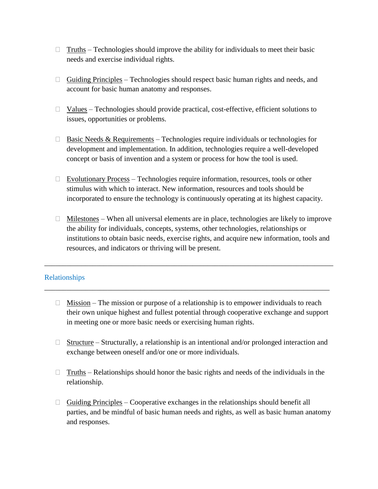- $\Box$  Truths Technologies should improve the ability for individuals to meet their basic needs and exercise individual rights.
- $\Box$  Guiding Principles Technologies should respect basic human rights and needs, and account for basic human anatomy and responses.
- $\Box$  Values Technologies should provide practical, cost-effective, efficient solutions to issues, opportunities or problems.
- $\Box$  Basic Needs & Requirements Technologies require individuals or technologies for development and implementation. In addition, technologies require a well-developed concept or basis of invention and a system or process for how the tool is used.
- $\Box$  Evolutionary Process Technologies require information, resources, tools or other stimulus with which to interact. New information, resources and tools should be incorporated to ensure the technology is continuously operating at its highest capacity.
- $\Box$  Milestones When all universal elements are in place, technologies are likely to improve the ability for individuals, concepts, systems, other technologies, relationships or institutions to obtain basic needs, exercise rights, and acquire new information, tools and resources, and indicators or thriving will be present.

\_\_\_\_\_\_\_\_\_\_\_\_\_\_\_\_\_\_\_\_\_\_\_\_\_\_\_\_\_\_\_\_\_\_\_\_\_\_\_\_\_\_\_\_\_\_\_\_\_\_\_\_\_\_\_\_\_\_\_\_\_\_\_\_\_\_\_\_\_\_\_\_\_\_\_\_\_

### Relationships

- $\Box$  Mission The mission or purpose of a relationship is to empower individuals to reach their own unique highest and fullest potential through cooperative exchange and support in meeting one or more basic needs or exercising human rights.
- $\Box$  Structure Structurally, a relationship is an intentional and/or prolonged interaction and exchange between oneself and/or one or more individuals.
- $\Box$  Truths Relationships should honor the basic rights and needs of the individuals in the relationship.
- $\Box$  Guiding Principles Cooperative exchanges in the relationships should benefit all parties, and be mindful of basic human needs and rights, as well as basic human anatomy and responses.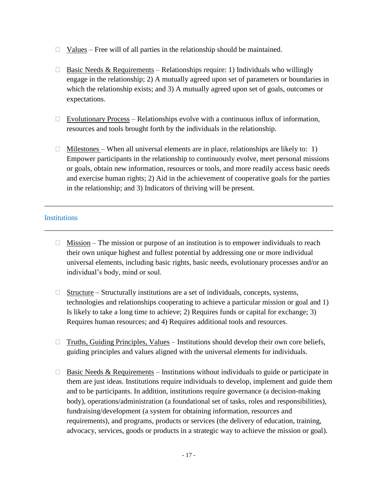- $\Box$  Values Free will of all parties in the relationship should be maintained.
- $\Box$  Basic Needs & Requirements Relationships require: 1) Individuals who willingly engage in the relationship; 2) A mutually agreed upon set of parameters or boundaries in which the relationship exists; and 3) A mutually agreed upon set of goals, outcomes or expectations.
- $\Box$  Evolutionary Process Relationships evolve with a continuous influx of information, resources and tools brought forth by the individuals in the relationship.
- $\Box$  Milestones When all universal elements are in place, relationships are likely to: 1) Empower participants in the relationship to continuously evolve, meet personal missions or goals, obtain new information, resources or tools, and more readily access basic needs and exercise human rights; 2) Aid in the achievement of cooperative goals for the parties in the relationship; and 3) Indicators of thriving will be present.

\_\_\_\_\_\_\_\_\_\_\_\_\_\_\_\_\_\_\_\_\_\_\_\_\_\_\_\_\_\_\_\_\_\_\_\_\_\_\_\_\_\_\_\_\_\_\_\_\_\_\_\_\_\_\_\_\_\_\_\_\_\_\_\_\_\_\_\_\_\_\_\_\_\_\_\_\_\_

### **Institutions**

- $\Box$  Mission The mission or purpose of an institution is to empower individuals to reach their own unique highest and fullest potential by addressing one or more individual universal elements, including basic rights, basic needs, evolutionary processes and/or an individual's body, mind or soul.
- $\Box$  Structure Structurally institutions are a set of individuals, concepts, systems, technologies and relationships cooperating to achieve a particular mission or goal and 1) Is likely to take a long time to achieve; 2) Requires funds or capital for exchange; 3) Requires human resources; and 4) Requires additional tools and resources.
- $\Box$  Truths, Guiding Principles, Values Institutions should develop their own core beliefs, guiding principles and values aligned with the universal elements for individuals.
- $\Box$  Basic Needs & Requirements Institutions without individuals to guide or participate in them are just ideas. Institutions require individuals to develop, implement and guide them and to be participants. In addition, institutions require governance (a decision-making body), operations/administration (a foundational set of tasks, roles and responsibilities), fundraising/development (a system for obtaining information, resources and requirements), and programs, products or services (the delivery of education, training, advocacy, services, goods or products in a strategic way to achieve the mission or goal).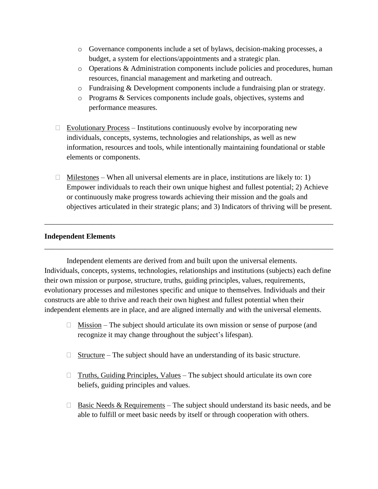- o Governance components include a set of bylaws, decision-making processes, a budget, a system for elections/appointments and a strategic plan.
- o Operations & Administration components include policies and procedures, human resources, financial management and marketing and outreach.
- o Fundraising & Development components include a fundraising plan or strategy.
- o Programs & Services components include goals, objectives, systems and performance measures.
- $\Box$  Evolutionary Process Institutions continuously evolve by incorporating new individuals, concepts, systems, technologies and relationships, as well as new information, resources and tools, while intentionally maintaining foundational or stable elements or components.
- $\Box$  Milestones When all universal elements are in place, institutions are likely to: 1) Empower individuals to reach their own unique highest and fullest potential; 2) Achieve or continuously make progress towards achieving their mission and the goals and objectives articulated in their strategic plans; and 3) Indicators of thriving will be present.

\_\_\_\_\_\_\_\_\_\_\_\_\_\_\_\_\_\_\_\_\_\_\_\_\_\_\_\_\_\_\_\_\_\_\_\_\_\_\_\_\_\_\_\_\_\_\_\_\_\_\_\_\_\_\_\_\_\_\_\_\_\_\_\_\_\_\_\_\_\_\_\_\_\_\_\_\_\_

### **Independent Elements**

Independent elements are derived from and built upon the universal elements. Individuals, concepts, systems, technologies, relationships and institutions (subjects) each define their own mission or purpose, structure, truths, guiding principles, values, requirements, evolutionary processes and milestones specific and unique to themselves. Individuals and their constructs are able to thrive and reach their own highest and fullest potential when their independent elements are in place, and are aligned internally and with the universal elements.

- $\Box$  Mission The subject should articulate its own mission or sense of purpose (and recognize it may change throughout the subject's lifespan).
- $\Box$  Structure The subject should have an understanding of its basic structure.
- $\Box$  Truths, Guiding Principles, Values The subject should articulate its own core beliefs, guiding principles and values.
- $\Box$  Basic Needs & Requirements The subject should understand its basic needs, and be able to fulfill or meet basic needs by itself or through cooperation with others.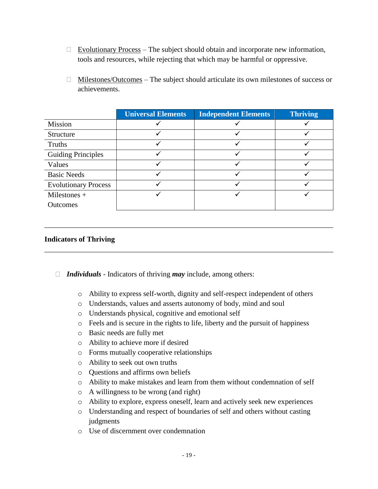- $\Box$  Evolutionary Process The subject should obtain and incorporate new information, tools and resources, while rejecting that which may be harmful or oppressive.
- $\Box$  Milestones/Outcomes The subject should articulate its own milestones of success or achievements.

|                             | <b>Universal Elements</b> | <b>Independent Elements</b> | <b>Thriving</b> |
|-----------------------------|---------------------------|-----------------------------|-----------------|
| Mission                     |                           |                             |                 |
| Structure                   |                           |                             |                 |
| Truths                      |                           |                             |                 |
| <b>Guiding Principles</b>   |                           |                             |                 |
| Values                      |                           |                             |                 |
| <b>Basic Needs</b>          |                           |                             |                 |
| <b>Evolutionary Process</b> |                           |                             |                 |
| Milestones $+$              |                           |                             |                 |
| <b>Outcomes</b>             |                           |                             |                 |

\_\_\_\_\_\_\_\_\_\_\_\_\_\_\_\_\_\_\_\_\_\_\_\_\_\_\_\_\_\_\_\_\_\_\_\_\_\_\_\_\_\_\_\_\_\_\_\_\_\_\_\_\_\_\_\_\_\_\_\_\_\_\_\_\_\_\_\_\_\_\_\_\_\_\_\_\_\_

### **Indicators of Thriving**

- *Individuals*  Indicators of thriving *may* include, among others:
	- o Ability to express self-worth, dignity and self-respect independent of others
	- o Understands, values and asserts autonomy of body, mind and soul
	- o Understands physical, cognitive and emotional self
	- o Feels and is secure in the rights to life, liberty and the pursuit of happiness
	- o Basic needs are fully met
	- o Ability to achieve more if desired
	- o Forms mutually cooperative relationships
	- o Ability to seek out own truths
	- o Questions and affirms own beliefs
	- o Ability to make mistakes and learn from them without condemnation of self
	- o A willingness to be wrong (and right)
	- o Ability to explore, express oneself, learn and actively seek new experiences
	- o Understanding and respect of boundaries of self and others without casting judgments
	- o Use of discernment over condemnation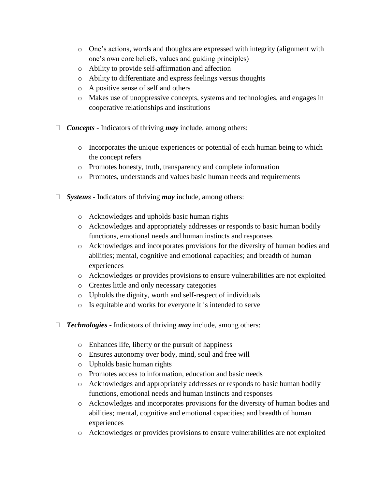- o One's actions, words and thoughts are expressed with integrity (alignment with one's own core beliefs, values and guiding principles)
- o Ability to provide self-affirmation and affection
- o Ability to differentiate and express feelings versus thoughts
- o A positive sense of self and others
- o Makes use of unoppressive concepts, systems and technologies, and engages in cooperative relationships and institutions
- □ *Concepts* Indicators of thriving *may* include, among others:
	- o Incorporates the unique experiences or potential of each human being to which the concept refers
	- o Promotes honesty, truth, transparency and complete information
	- o Promotes, understands and values basic human needs and requirements
- *Systems* Indicators of thriving *may* include, among others:
	- o Acknowledges and upholds basic human rights
	- o Acknowledges and appropriately addresses or responds to basic human bodily functions, emotional needs and human instincts and responses
	- o Acknowledges and incorporates provisions for the diversity of human bodies and abilities; mental, cognitive and emotional capacities; and breadth of human experiences
	- o Acknowledges or provides provisions to ensure vulnerabilities are not exploited
	- o Creates little and only necessary categories
	- o Upholds the dignity, worth and self-respect of individuals
	- o Is equitable and works for everyone it is intended to serve
- *Technologies* Indicators of thriving *may* include, among others:
	- o Enhances life, liberty or the pursuit of happiness
	- o Ensures autonomy over body, mind, soul and free will
	- o Upholds basic human rights
	- o Promotes access to information, education and basic needs
	- o Acknowledges and appropriately addresses or responds to basic human bodily functions, emotional needs and human instincts and responses
	- o Acknowledges and incorporates provisions for the diversity of human bodies and abilities; mental, cognitive and emotional capacities; and breadth of human experiences
	- o Acknowledges or provides provisions to ensure vulnerabilities are not exploited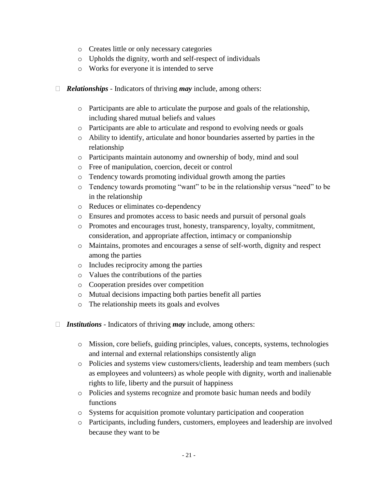- o Creates little or only necessary categories
- o Upholds the dignity, worth and self-respect of individuals
- o Works for everyone it is intended to serve
- *Relationships* Indicators of thriving *may* include, among others:
	- o Participants are able to articulate the purpose and goals of the relationship, including shared mutual beliefs and values
	- o Participants are able to articulate and respond to evolving needs or goals
	- o Ability to identify, articulate and honor boundaries asserted by parties in the relationship
	- o Participants maintain autonomy and ownership of body, mind and soul
	- o Free of manipulation, coercion, deceit or control
	- o Tendency towards promoting individual growth among the parties
	- o Tendency towards promoting "want" to be in the relationship versus "need" to be in the relationship
	- o Reduces or eliminates co-dependency
	- o Ensures and promotes access to basic needs and pursuit of personal goals
	- o Promotes and encourages trust, honesty, transparency, loyalty, commitment, consideration, and appropriate affection, intimacy or companionship
	- o Maintains, promotes and encourages a sense of self-worth, dignity and respect among the parties
	- o Includes reciprocity among the parties
	- o Values the contributions of the parties
	- o Cooperation presides over competition
	- o Mutual decisions impacting both parties benefit all parties
	- o The relationship meets its goals and evolves
- *Institutions* Indicators of thriving *may* include, among others:
	- o Mission, core beliefs, guiding principles, values, concepts, systems, technologies and internal and external relationships consistently align
	- o Policies and systems view customers/clients, leadership and team members (such as employees and volunteers) as whole people with dignity, worth and inalienable rights to life, liberty and the pursuit of happiness
	- o Policies and systems recognize and promote basic human needs and bodily functions
	- o Systems for acquisition promote voluntary participation and cooperation
	- o Participants, including funders, customers, employees and leadership are involved because they want to be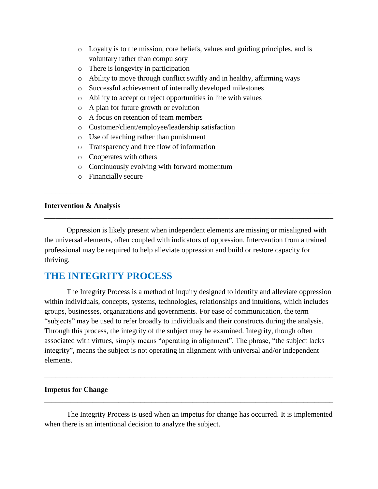- o Loyalty is to the mission, core beliefs, values and guiding principles, and is voluntary rather than compulsory
- o There is longevity in participation
- o Ability to move through conflict swiftly and in healthy, affirming ways
- o Successful achievement of internally developed milestones
- o Ability to accept or reject opportunities in line with values
- o A plan for future growth or evolution
- o A focus on retention of team members
- o Customer/client/employee/leadership satisfaction
- o Use of teaching rather than punishment
- o Transparency and free flow of information
- o Cooperates with others
- o Continuously evolving with forward momentum
- o Financially secure

#### **Intervention & Analysis**

Oppression is likely present when independent elements are missing or misaligned with the universal elements, often coupled with indicators of oppression. Intervention from a trained professional may be required to help alleviate oppression and build or restore capacity for thriving.

\_\_\_\_\_\_\_\_\_\_\_\_\_\_\_\_\_\_\_\_\_\_\_\_\_\_\_\_\_\_\_\_\_\_\_\_\_\_\_\_\_\_\_\_\_\_\_\_\_\_\_\_\_\_\_\_\_\_\_\_\_\_\_\_\_\_\_\_\_\_\_\_\_\_\_\_\_\_

\_\_\_\_\_\_\_\_\_\_\_\_\_\_\_\_\_\_\_\_\_\_\_\_\_\_\_\_\_\_\_\_\_\_\_\_\_\_\_\_\_\_\_\_\_\_\_\_\_\_\_\_\_\_\_\_\_\_\_\_\_\_\_\_\_\_\_\_\_\_\_\_\_\_\_\_\_\_

# **THE INTEGRITY PROCESS**

The Integrity Process is a method of inquiry designed to identify and alleviate oppression within individuals, concepts, systems, technologies, relationships and intuitions, which includes groups, businesses, organizations and governments. For ease of communication, the term "subjects" may be used to refer broadly to individuals and their constructs during the analysis. Through this process, the integrity of the subject may be examined. Integrity, though often associated with virtues, simply means "operating in alignment". The phrase, "the subject lacks integrity", means the subject is not operating in alignment with universal and/or independent elements.

#### **Impetus for Change**

The Integrity Process is used when an impetus for change has occurred. It is implemented when there is an intentional decision to analyze the subject.

\_\_\_\_\_\_\_\_\_\_\_\_\_\_\_\_\_\_\_\_\_\_\_\_\_\_\_\_\_\_\_\_\_\_\_\_\_\_\_\_\_\_\_\_\_\_\_\_\_\_\_\_\_\_\_\_\_\_\_\_\_\_\_\_\_\_\_\_\_\_\_\_\_\_\_\_\_\_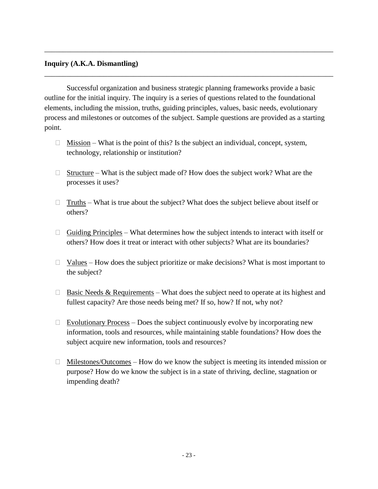### **Inquiry (A.K.A. Dismantling)**

Successful organization and business strategic planning frameworks provide a basic outline for the initial inquiry. The inquiry is a series of questions related to the foundational elements, including the mission, truths, guiding principles, values, basic needs, evolutionary process and milestones or outcomes of the subject. Sample questions are provided as a starting point.

\_\_\_\_\_\_\_\_\_\_\_\_\_\_\_\_\_\_\_\_\_\_\_\_\_\_\_\_\_\_\_\_\_\_\_\_\_\_\_\_\_\_\_\_\_\_\_\_\_\_\_\_\_\_\_\_\_\_\_\_\_\_\_\_\_\_\_\_\_\_\_\_\_\_\_\_\_\_

- $\Box$  Mission What is the point of this? Is the subject an individual, concept, system, technology, relationship or institution?
- $\Box$  Structure What is the subject made of? How does the subject work? What are the processes it uses?
- $\Box$  Truths What is true about the subject? What does the subject believe about itself or others?
- $\Box$  Guiding Principles What determines how the subject intends to interact with itself or others? How does it treat or interact with other subjects? What are its boundaries?
- $\Box$  Values How does the subject prioritize or make decisions? What is most important to the subject?
- $\Box$  Basic Needs & Requirements What does the subject need to operate at its highest and fullest capacity? Are those needs being met? If so, how? If not, why not?
- $\Box$  Evolutionary Process Does the subject continuously evolve by incorporating new information, tools and resources, while maintaining stable foundations? How does the subject acquire new information, tools and resources?
- $\Box$  Milestones/Outcomes How do we know the subject is meeting its intended mission or purpose? How do we know the subject is in a state of thriving, decline, stagnation or impending death?